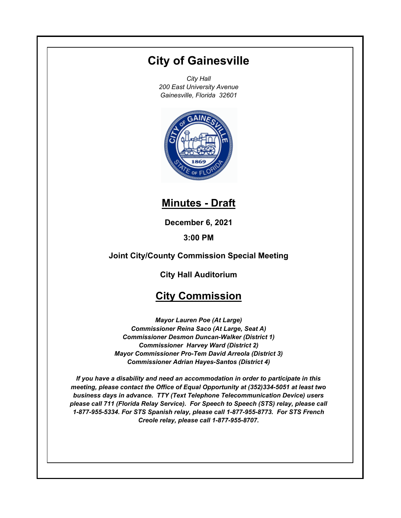# **City of Gainesville**

*City Hall 200 East University Avenue Gainesville, Florida 32601*



## **Minutes - Draft**

**December 6, 2021**

**3:00 PM**

### **Joint City/County Commission Special Meeting**

**City Hall Auditorium**

### **City Commission**

*Mayor Lauren Poe (At Large) Commissioner Reina Saco (At Large, Seat A) Commissioner Desmon Duncan-Walker (District 1) Commissioner Harvey Ward (District 2) Mayor Commissioner Pro-Tem David Arreola (District 3) Commissioner Adrian Hayes-Santos (District 4)*

*If you have a disability and need an accommodation in order to participate in this meeting, please contact the Office of Equal Opportunity at (352)334-5051 at least two business days in advance. TTY (Text Telephone Telecommunication Device) users please call 711 (Florida Relay Service). For Speech to Speech (STS) relay, please call 1-877-955-5334. For STS Spanish relay, please call 1-877-955-8773. For STS French Creole relay, please call 1-877-955-8707.*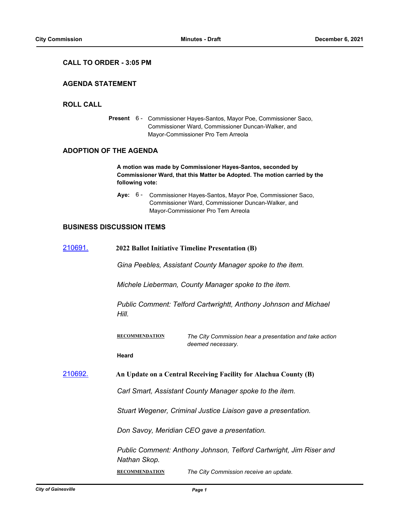#### **CALL TO ORDER - 3:05 PM**

#### **AGENDA STATEMENT**

#### **ROLL CALL**

Present 6 - Commissioner Hayes-Santos, Mayor Poe, Commissioner Saco, Commissioner Ward, Commissioner Duncan-Walker, and Mayor-Commissioner Pro Tem Arreola

#### **ADOPTION OF THE AGENDA**

**A motion was made by Commissioner Hayes-Santos, seconded by Commissioner Ward, that this Matter be Adopted. The motion carried by the following vote:**

**Aye:** Commissioner Hayes-Santos, Mayor Poe, Commissioner Saco, Commissioner Ward, Commissioner Duncan-Walker, and Mayor-Commissioner Pro Tem Arreola Aye: 6 -

#### **BUSINESS DISCUSSION ITEMS**

| 210691.         | 2022 Ballot Initiative Timeline Presentation (B)                 |                                                                              |
|-----------------|------------------------------------------------------------------|------------------------------------------------------------------------------|
|                 | Gina Peebles, Assistant County Manager spoke to the item.        |                                                                              |
|                 |                                                                  | Michele Lieberman, County Manager spoke to the item.                         |
|                 | Hill.                                                            | Public Comment: Telford Cartwrightt, Anthony Johnson and Michael             |
|                 | <b>RECOMMENDATION</b>                                            | The City Commission hear a presentation and take action<br>deemed necessary. |
|                 | <b>Heard</b>                                                     |                                                                              |
| <u> 210692.</u> | An Update on a Central Receiving Facility for Alachua County (B) |                                                                              |
|                 | Carl Smart, Assistant County Manager spoke to the item.          |                                                                              |
|                 | Stuart Wegener, Criminal Justice Liaison gave a presentation.    |                                                                              |
|                 | Don Savoy, Meridian CEO gave a presentation.                     |                                                                              |
|                 | Nathan Skop.                                                     | Public Comment: Anthony Johnson, Telford Cartwright, Jim Riser and           |

**RECOMMENDATION** *The City Commission receive an update.*